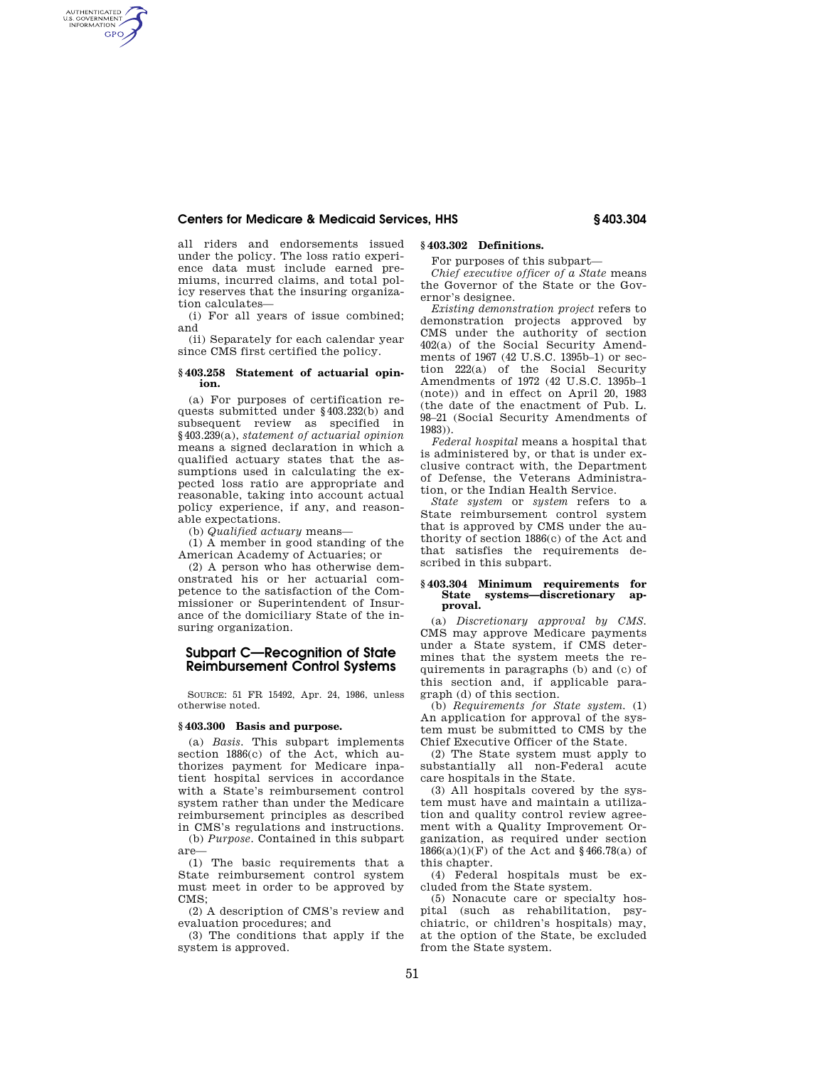## **Centers for Medicare & Medicaid Services, HHS § 403.304**

all riders and endorsements issued under the policy. The loss ratio experience data must include earned premiums, incurred claims, and total policy reserves that the insuring organization calculates—

AUTHENTICATED<br>U.S. GOVERNMENT<br>INFORMATION **GPO** 

> (i) For all years of issue combined; and

> (ii) Separately for each calendar year since CMS first certified the policy.

## **§ 403.258 Statement of actuarial opinion.**

(a) For purposes of certification requests submitted under §403.232(b) and subsequent review as specified in §403.239(a), *statement of actuarial opinion*  means a signed declaration in which a qualified actuary states that the assumptions used in calculating the expected loss ratio are appropriate and reasonable, taking into account actual policy experience, if any, and reasonable expectations.

(b) *Qualified actuary* means—

(1) A member in good standing of the American Academy of Actuaries; or

(2) A person who has otherwise demonstrated his or her actuarial competence to the satisfaction of the Commissioner or Superintendent of Insurance of the domiciliary State of the insuring organization.

# **Subpart C—Recognition of State Reimbursement Control Systems**

SOURCE: 51 FR 15492, Apr. 24, 1986, unless otherwise noted.

# **§ 403.300 Basis and purpose.**

(a) *Basis.* This subpart implements section 1886(c) of the Act, which authorizes payment for Medicare inpatient hospital services in accordance with a State's reimbursement control system rather than under the Medicare reimbursement principles as described in CMS's regulations and instructions.

(b) *Purpose.* Contained in this subpart are—

(1) The basic requirements that a State reimbursement control system must meet in order to be approved by CMS;

(2) A description of CMS's review and evaluation procedures; and

(3) The conditions that apply if the system is approved.

# **§ 403.302 Definitions.**

For purposes of this subpart—

*Chief executive officer of a State* means the Governor of the State or the Governor's designee.

*Existing demonstration project* refers to demonstration projects approved by CMS under the authority of section 402(a) of the Social Security Amendments of 1967 (42 U.S.C. 1395b–1) or section 222(a) of the Social Security Amendments of 1972 (42 U.S.C. 1395b–1 (note)) and in effect on April 20, 1983 (the date of the enactment of Pub. L. 98–21 (Social Security Amendments of 1983)).

*Federal hospital* means a hospital that is administered by, or that is under exclusive contract with, the Department of Defense, the Veterans Administration, or the Indian Health Service.

*State system* or *system* refers to a State reimbursement control system that is approved by CMS under the authority of section 1886(c) of the Act and that satisfies the requirements described in this subpart.

### **§ 403.304 Minimum requirements for State systems—discretionary approval.**

(a) *Discretionary approval by CMS.*  CMS may approve Medicare payments under a State system, if CMS determines that the system meets the requirements in paragraphs (b) and (c) of this section and, if applicable paragraph (d) of this section.

(b) *Requirements for State system.* (1) An application for approval of the system must be submitted to CMS by the Chief Executive Officer of the State.

(2) The State system must apply to substantially all non-Federal acute care hospitals in the State.

(3) All hospitals covered by the system must have and maintain a utilization and quality control review agreement with a Quality Improvement Organization, as required under section  $1866(a)(1)(\mathrm{F})$  of the Act and  $\S\,466.78(a)$  of this chapter.

(4) Federal hospitals must be excluded from the State system.

(5) Nonacute care or specialty hospital (such as rehabilitation, psychiatric, or children's hospitals) may, at the option of the State, be excluded from the State system.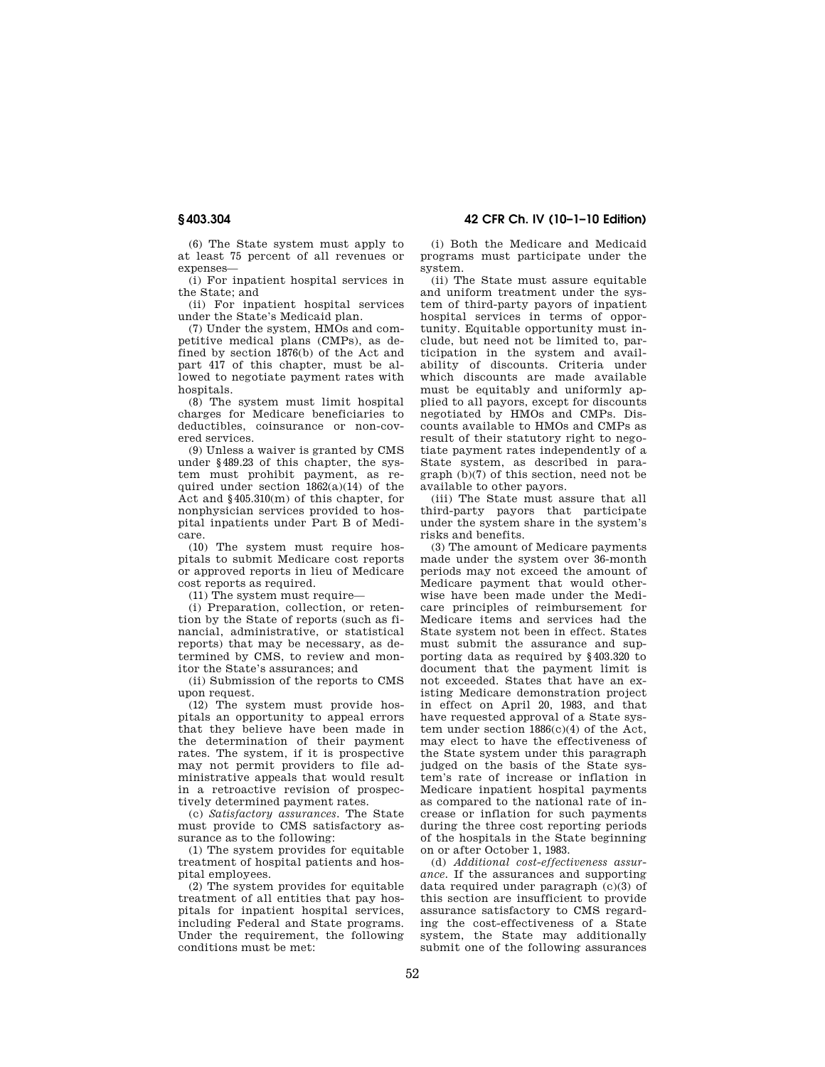(6) The State system must apply to at least 75 percent of all revenues or expenses—

(i) For inpatient hospital services in the State; and

(ii) For inpatient hospital services under the State's Medicaid plan.

(7) Under the system, HMOs and competitive medical plans (CMPs), as defined by section 1876(b) of the Act and part 417 of this chapter, must be allowed to negotiate payment rates with hospitals.

(8) The system must limit hospital charges for Medicare beneficiaries to deductibles, coinsurance or non-covered services.

(9) Unless a waiver is granted by CMS under §489.23 of this chapter, the system must prohibit payment, as required under section  $1862(a)(14)$  of the Act and §405.310(m) of this chapter, for nonphysician services provided to hospital inpatients under Part B of Medicare.

(10) The system must require hospitals to submit Medicare cost reports or approved reports in lieu of Medicare cost reports as required.

 $(11)$  The system must require—

(i) Preparation, collection, or retention by the State of reports (such as financial, administrative, or statistical reports) that may be necessary, as determined by CMS, to review and monitor the State's assurances; and

(ii) Submission of the reports to CMS upon request.

(12) The system must provide hospitals an opportunity to appeal errors that they believe have been made in the determination of their payment rates. The system, if it is prospective may not permit providers to file administrative appeals that would result in a retroactive revision of prospectively determined payment rates.

(c) *Satisfactory assurances.* The State must provide to CMS satisfactory assurance as to the following:

(1) The system provides for equitable treatment of hospital patients and hospital employees.

(2) The system provides for equitable treatment of all entities that pay hospitals for inpatient hospital services, including Federal and State programs. Under the requirement, the following conditions must be met:

(i) Both the Medicare and Medicaid programs must participate under the

system. (ii) The State must assure equitable and uniform treatment under the system of third-party payors of inpatient hospital services in terms of opportunity. Equitable opportunity must include, but need not be limited to, participation in the system and availability of discounts. Criteria under which discounts are made available must be equitably and uniformly applied to all payors, except for discounts negotiated by HMOs and CMPs. Discounts available to HMOs and CMPs as result of their statutory right to negotiate payment rates independently of a State system, as described in paragraph (b)(7) of this section, need not be available to other payors.

(iii) The State must assure that all third-party payors that participate under the system share in the system's risks and benefits.

(3) The amount of Medicare payments made under the system over 36-month periods may not exceed the amount of Medicare payment that would otherwise have been made under the Medicare principles of reimbursement for Medicare items and services had the State system not been in effect. States must submit the assurance and supporting data as required by §403.320 to document that the payment limit is not exceeded. States that have an existing Medicare demonstration project in effect on April 20, 1983, and that have requested approval of a State system under section 1886(c)(4) of the Act, may elect to have the effectiveness of the State system under this paragraph judged on the basis of the State system's rate of increase or inflation in Medicare inpatient hospital payments as compared to the national rate of increase or inflation for such payments during the three cost reporting periods of the hospitals in the State beginning on or after October 1, 1983.

(d) *Additional cost-effectiveness assurance.* If the assurances and supporting data required under paragraph (c)(3) of this section are insufficient to provide assurance satisfactory to CMS regarding the cost-effectiveness of a State system, the State may additionally submit one of the following assurances

# **§ 403.304 42 CFR Ch. IV (10–1–10 Edition)**